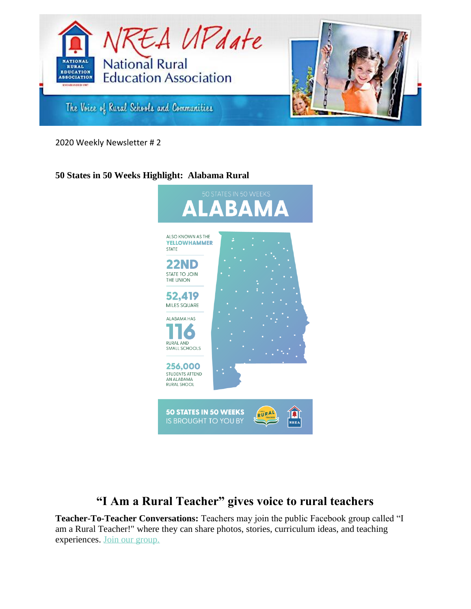

2020 Weekly Newsletter # 2

# **50 States in 50 Weeks Highlight: Alabama Rural**



# **"I Am a Rural Teacher" gives voice to rural teachers**

**Teacher-To-Teacher Conversations:** Teachers may join the public Facebook group called "I am a Rural Teacher!" where they can share photos, stories, curriculum ideas, and teaching experiences. [Join our group.](http://bit.ly/IAARTGroup)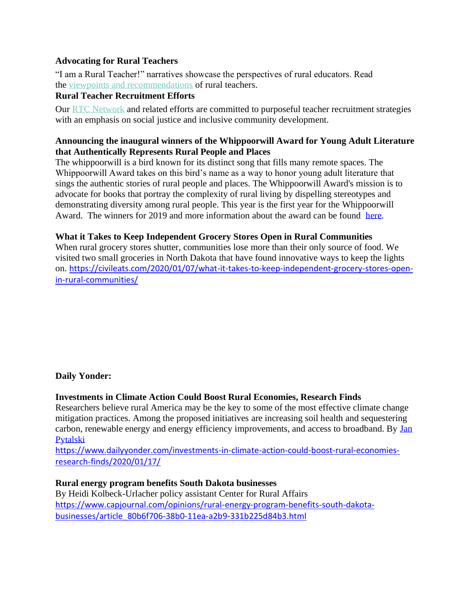## **Advocating for Rural Teachers**

"I am a Rural Teacher!" narratives showcase the perspectives of rural educators. Read the [viewpoints and recommendations](https://iamaruralteacher.org/profiles-overview) of rural teachers.

## **Rural Teacher Recruitment Efforts**

Our [RTC Network](http://ruralschoolscollaborative.org/rural-teacher-corps/exemplary-efforts) and related efforts are committed to purposeful teacher recruitment strategies with an emphasis on social justice and inclusive community development.

## **Announcing the inaugural winners of the Whippoorwill Award for Young Adult Literature that Authentically Represents Rural People and Places**

The whippoorwill is a bird known for its distinct song that fills many remote spaces. The Whippoorwill Award takes on this bird's name as a way to honor young adult literature that sings the authentic stories of rural people and places. The Whippoorwill Award's mission is to advocate for books that portray the complexity of rural living by dispelling stereotypes and demonstrating diversity among rural people. This year is the first year for the Whippoorwill Award. The winners for 2019 and more information about the award can be found [here.](https://whippoorwillaward.weebly.com/)

## **What it Takes to Keep Independent Grocery Stores Open in Rural Communities**

When rural grocery stores shutter, communities lose more than their only source of food. We visited two small groceries in North Dakota that have found innovative ways to keep the lights on. [https://civileats.com/2020/01/07/what-it-takes-to-keep-independent-grocery-stores-open](https://civileats.com/2020/01/07/what-it-takes-to-keep-independent-grocery-stores-open-in-rural-communities/)[in-rural-communities/](https://civileats.com/2020/01/07/what-it-takes-to-keep-independent-grocery-stores-open-in-rural-communities/)

## **Daily Yonder:**

## **Investments in Climate Action Could Boost Rural Economies, Research Finds**

Researchers believe rural America may be the key to some of the most effective climate change mitigation practices. Among the proposed initiatives are increasing soil health and sequestering carbon, renewable energy and energy efficiency improvements, and access to broadband. By [Jan](https://www.dailyyonder.com/author/jan_pytalski/)  [Pytalski](https://www.dailyyonder.com/author/jan_pytalski/)

[https://www.dailyyonder.com/investments-in-climate-action-could-boost-rural-economies](https://www.dailyyonder.com/investments-in-climate-action-could-boost-rural-economies-research-finds/2020/01/17/)[research-finds/2020/01/17/](https://www.dailyyonder.com/investments-in-climate-action-could-boost-rural-economies-research-finds/2020/01/17/)

#### **Rural energy program benefits South Dakota businesses**

By Heidi Kolbeck-Urlacher policy assistant Center for Rural Affairs [https://www.capjournal.com/opinions/rural-energy-program-benefits-south-dakota](https://www.capjournal.com/opinions/rural-energy-program-benefits-south-dakota-businesses/article_80b6f706-38b0-11ea-a2b9-331b225d84b3.html)[businesses/article\\_80b6f706-38b0-11ea-a2b9-331b225d84b3.html](https://www.capjournal.com/opinions/rural-energy-program-benefits-south-dakota-businesses/article_80b6f706-38b0-11ea-a2b9-331b225d84b3.html)